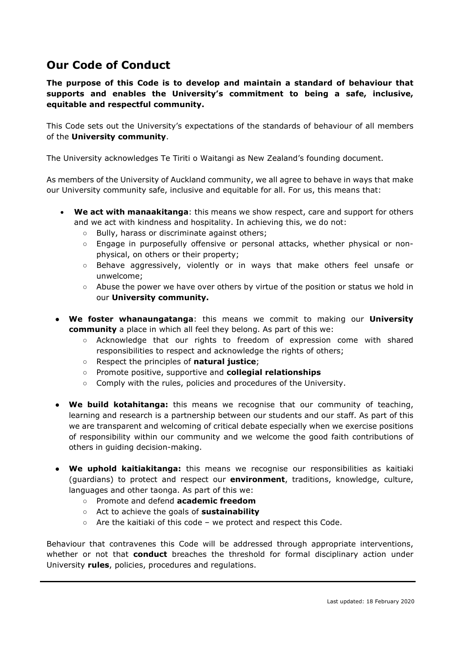## **Our Code of Conduct**

**The purpose of this Code is to develop and maintain a standard of behaviour that supports and enables the University's commitment to being a safe, inclusive, equitable and respectful community.**

This Code sets out the University's expectations of the standards of behaviour of all members of the **University community**.

The University acknowledges Te Tiriti o Waitangi as New Zealand's founding document.

As members of the University of Auckland community, we all agree to behave in ways that make our University community safe, inclusive and equitable for all. For us, this means that:

- **We act with manaakitanga**: this means we show respect, care and support for others and we act with kindness and hospitality. In achieving this, we do not:
	- Bully, harass or discriminate against others;
	- Engage in purposefully offensive or personal attacks, whether physical or nonphysical, on others or their property;
	- Behave aggressively, violently or in ways that make others feel unsafe or unwelcome;
	- Abuse the power we have over others by virtue of the position or status we hold in our **University community.**
- **We foster whanaungatanga**: this means we commit to making our **University community** a place in which all feel they belong. As part of this we:
	- Acknowledge that our rights to freedom of expression come with shared responsibilities to respect and acknowledge the rights of others;
	- Respect the principles of **natural justice**;
	- Promote positive, supportive and **collegial relationships**
	- Comply with the rules, policies and procedures of the University.
- **We build kotahitanga:** this means we recognise that our community of teaching, learning and research is a partnership between our students and our staff. As part of this we are transparent and welcoming of critical debate especially when we exercise positions of responsibility within our community and we welcome the good faith contributions of others in guiding decision-making.
- **We uphold kaitiakitanga:** this means we recognise our responsibilities as kaitiaki (guardians) to protect and respect our **environment**, traditions, knowledge, culture, languages and other taonga. As part of this we:
	- Promote and defend **academic freedom**
	- Act to achieve the goals of **sustainability**
	- $\circ$  Are the kaitiaki of this code we protect and respect this Code.

Behaviour that contravenes this Code will be addressed through appropriate interventions, whether or not that **conduct** breaches the threshold for formal disciplinary action under University **rules**, policies, procedures and regulations.